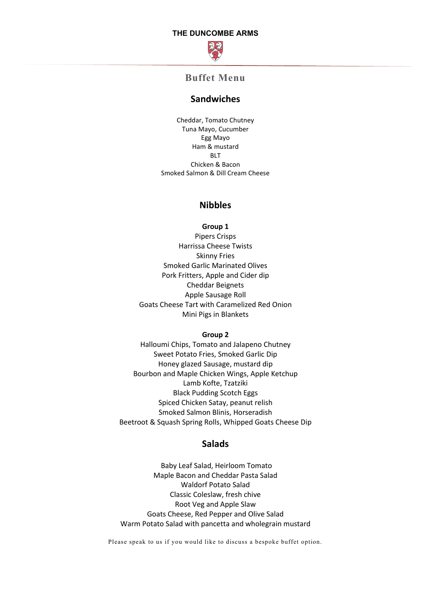### **THE DUNCOMBE ARMS**



# **Buffet Menu**

### **Sandwiches**

Cheddar, Tomato Chutney Tuna Mayo, Cucumber Egg Mayo Ham & mustard BLT Chicken & Bacon Smoked Salmon & Dill Cream Cheese

## **Nibbles**

**Group 1**

Pipers Crisps Harrissa Cheese Twists Skinny Fries Smoked Garlic Marinated Olives Pork Fritters, Apple and Cider dip Cheddar Beignets Apple Sausage Roll Goats Cheese Tart with Caramelized Red Onion Mini Pigs in Blankets

#### **Group 2**

Halloumi Chips, Tomato and Jalapeno Chutney Sweet Potato Fries, Smoked Garlic Dip Honey glazed Sausage, mustard dip Bourbon and Maple Chicken Wings, Apple Ketchup Lamb Kofte, Tzatziki Black Pudding Scotch Eggs Spiced Chicken Satay, peanut relish Smoked Salmon Blinis, Horseradish Beetroot & Squash Spring Rolls, Whipped Goats Cheese Dip

### **Salads**

Baby Leaf Salad, Heirloom Tomato Maple Bacon and Cheddar Pasta Salad Waldorf Potato Salad Classic Coleslaw, fresh chive Root Veg and Apple Slaw Goats Cheese, Red Pepper and Olive Salad Warm Potato Salad with pancetta and wholegrain mustard

Please speak to us if you would like to discuss a bespoke buffet option.